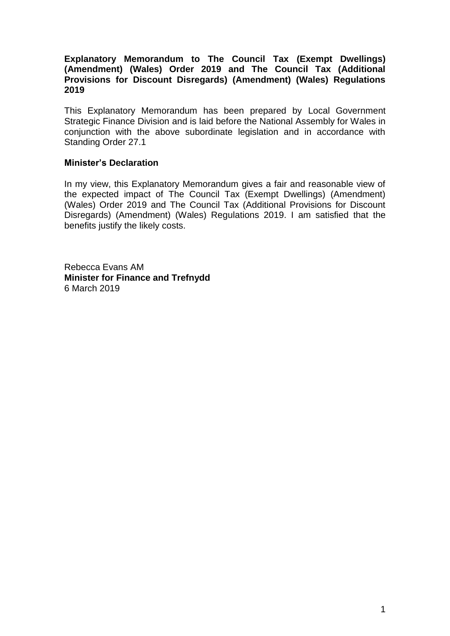### **Explanatory Memorandum to The Council Tax (Exempt Dwellings) (Amendment) (Wales) Order 2019 and The Council Tax (Additional Provisions for Discount Disregards) (Amendment) (Wales) Regulations 2019**

This Explanatory Memorandum has been prepared by Local Government Strategic Finance Division and is laid before the National Assembly for Wales in conjunction with the above subordinate legislation and in accordance with Standing Order 27.1

### **Minister's Declaration**

In my view, this Explanatory Memorandum gives a fair and reasonable view of the expected impact of The Council Tax (Exempt Dwellings) (Amendment) (Wales) Order 2019 and The Council Tax (Additional Provisions for Discount Disregards) (Amendment) (Wales) Regulations 2019. I am satisfied that the benefits justify the likely costs.

Rebecca Evans AM **Minister for Finance and Trefnydd** 6 March 2019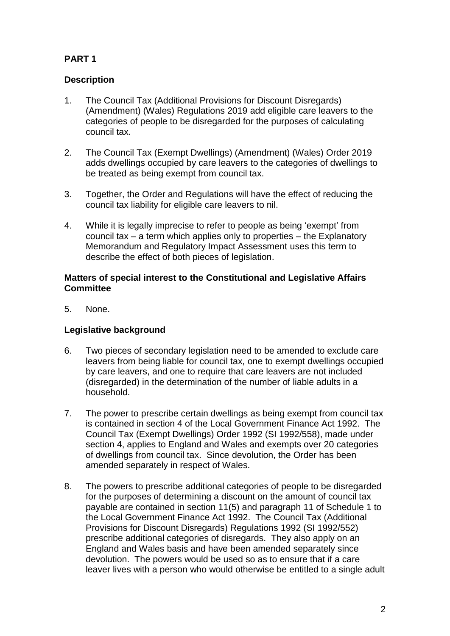# **PART 1**

# **Description**

- 1. The Council Tax (Additional Provisions for Discount Disregards) (Amendment) (Wales) Regulations 2019 add eligible care leavers to the categories of people to be disregarded for the purposes of calculating council tax.
- 2. The Council Tax (Exempt Dwellings) (Amendment) (Wales) Order 2019 adds dwellings occupied by care leavers to the categories of dwellings to be treated as being exempt from council tax.
- 3. Together, the Order and Regulations will have the effect of reducing the council tax liability for eligible care leavers to nil.
- 4. While it is legally imprecise to refer to people as being 'exempt' from council tax – a term which applies only to properties – the Explanatory Memorandum and Regulatory Impact Assessment uses this term to describe the effect of both pieces of legislation.

### **Matters of special interest to the Constitutional and Legislative Affairs Committee**

5. None.

## **Legislative background**

- 6. Two pieces of secondary legislation need to be amended to exclude care leavers from being liable for council tax, one to exempt dwellings occupied by care leavers, and one to require that care leavers are not included (disregarded) in the determination of the number of liable adults in a household.
- 7. The power to prescribe certain dwellings as being exempt from council tax is contained in section 4 of the Local Government Finance Act 1992. The Council Tax (Exempt Dwellings) Order 1992 (SI 1992/558), made under section 4, applies to England and Wales and exempts over 20 categories of dwellings from council tax. Since devolution, the Order has been amended separately in respect of Wales.
- 8. The powers to prescribe additional categories of people to be disregarded for the purposes of determining a discount on the amount of council tax payable are contained in section 11(5) and paragraph 11 of Schedule 1 to the Local Government Finance Act 1992. The Council Tax (Additional Provisions for Discount Disregards) Regulations 1992 (SI 1992/552) prescribe additional categories of disregards. They also apply on an England and Wales basis and have been amended separately since devolution. The powers would be used so as to ensure that if a care leaver lives with a person who would otherwise be entitled to a single adult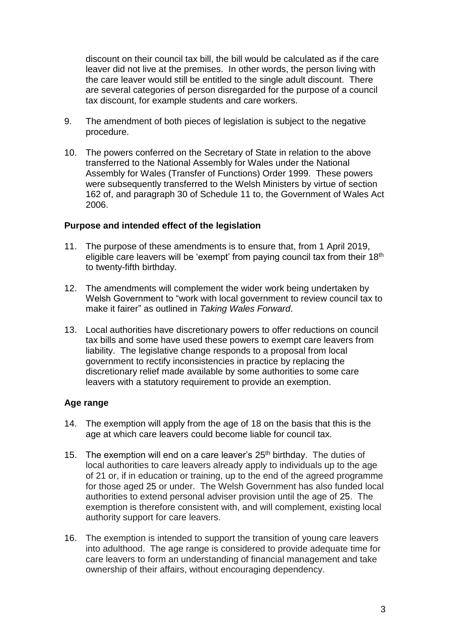discount on their council tax bill, the bill would be calculated as if the care leaver did not live at the premises. In other words, the person living with the care leaver would still be entitled to the single adult discount. There are several categories of person disregarded for the purpose of a council tax discount, for example students and care workers.

- 9. The amendment of both pieces of legislation is subject to the negative procedure.
- 10. The powers conferred on the Secretary of State in relation to the above transferred to the National Assembly for Wales under the National Assembly for Wales (Transfer of Functions) Order 1999. These powers were subsequently transferred to the Welsh Ministers by virtue of section 162 of, and paragraph 30 of Schedule 11 to, the Government of Wales Act 2006.

### **Purpose and intended effect of the legislation**

- 11. The purpose of these amendments is to ensure that, from 1 April 2019, eligible care leavers will be 'exempt' from paying council tax from their 18<sup>th</sup> to twenty-fifth birthday.
- 12. The amendments will complement the wider work being undertaken by Welsh Government to "work with local government to review council tax to make it fairer" as outlined in *Taking Wales Forward*.
- 13. Local authorities have discretionary powers to offer reductions on council tax bills and some have used these powers to exempt care leavers from liability. The legislative change responds to a proposal from local government to rectify inconsistencies in practice by replacing the discretionary relief made available by some authorities to some care leavers with a statutory requirement to provide an exemption.

### **Age range**

- 14. The exemption will apply from the age of 18 on the basis that this is the age at which care leavers could become liable for council tax.
- 15. The exemption will end on a care leaver's  $25<sup>th</sup>$  birthday. The duties of local authorities to care leavers already apply to individuals up to the age of 21 or, if in education or training, up to the end of the agreed programme for those aged 25 or under. The Welsh Government has also funded local authorities to extend personal adviser provision until the age of 25. The exemption is therefore consistent with, and will complement, existing local authority support for care leavers.
- 16. The exemption is intended to support the transition of young care leavers into adulthood. The age range is considered to provide adequate time for care leavers to form an understanding of financial management and take ownership of their affairs, without encouraging dependency.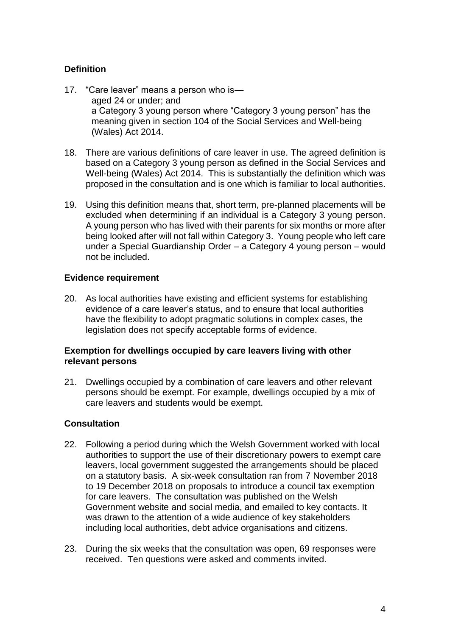## **Definition**

- 17. "Care leaver" means a person who is aged 24 or under; and a Category 3 young person where "Category 3 young person" has the meaning given in section 104 of the Social Services and Well-being (Wales) Act 2014.
- 18. There are various definitions of care leaver in use. The agreed definition is based on a Category 3 young person as defined in the Social Services and Well-being (Wales) Act 2014. This is substantially the definition which was proposed in the consultation and is one which is familiar to local authorities.
- 19. Using this definition means that, short term, pre-planned placements will be excluded when determining if an individual is a Category 3 young person. A young person who has lived with their parents for six months or more after being looked after will not fall within Category 3. Young people who left care under a Special Guardianship Order – a Category 4 young person – would not be included.

### **Evidence requirement**

20. As local authorities have existing and efficient systems for establishing evidence of a care leaver's status, and to ensure that local authorities have the flexibility to adopt pragmatic solutions in complex cases, the legislation does not specify acceptable forms of evidence.

### **Exemption for dwellings occupied by care leavers living with other relevant persons**

21. Dwellings occupied by a combination of care leavers and other relevant persons should be exempt. For example, dwellings occupied by a mix of care leavers and students would be exempt.

### **Consultation**

- 22. Following a period during which the Welsh Government worked with local authorities to support the use of their discretionary powers to exempt care leavers, local government suggested the arrangements should be placed on a statutory basis. A six-week consultation ran from 7 November 2018 to 19 December 2018 on proposals to introduce a council tax exemption for care leavers. The consultation was published on the Welsh Government website and social media, and emailed to key contacts. It was drawn to the attention of a wide audience of key stakeholders including local authorities, debt advice organisations and citizens.
- 23. During the six weeks that the consultation was open, 69 responses were received. Ten questions were asked and comments invited.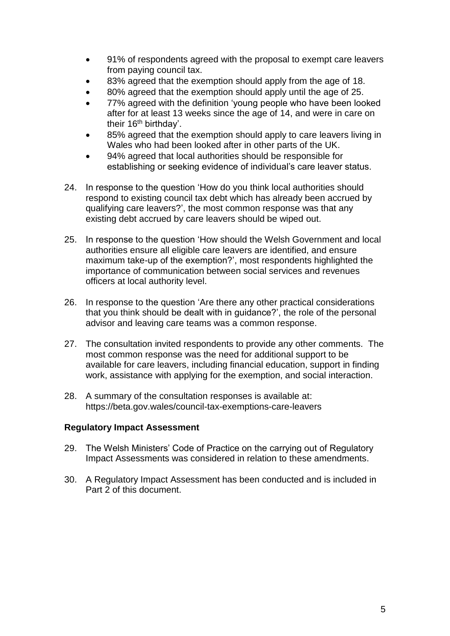- 91% of respondents agreed with the proposal to exempt care leavers from paying council tax.
- 83% agreed that the exemption should apply from the age of 18.
- 80% agreed that the exemption should apply until the age of 25.
- 77% agreed with the definition 'young people who have been looked after for at least 13 weeks since the age of 14, and were in care on their 16<sup>th</sup> birthday'.
- 85% agreed that the exemption should apply to care leavers living in Wales who had been looked after in other parts of the UK.
- 94% agreed that local authorities should be responsible for establishing or seeking evidence of individual's care leaver status.
- 24. In response to the question 'How do you think local authorities should respond to existing council tax debt which has already been accrued by qualifying care leavers?', the most common response was that any existing debt accrued by care leavers should be wiped out.
- 25. In response to the question 'How should the Welsh Government and local authorities ensure all eligible care leavers are identified, and ensure maximum take-up of the exemption?', most respondents highlighted the importance of communication between social services and revenues officers at local authority level.
- 26. In response to the question 'Are there any other practical considerations that you think should be dealt with in guidance?', the role of the personal advisor and leaving care teams was a common response.
- 27. The consultation invited respondents to provide any other comments. The most common response was the need for additional support to be available for care leavers, including financial education, support in finding work, assistance with applying for the exemption, and social interaction.
- 28. A summary of the consultation responses is available at: https://beta.gov.wales/council-tax-exemptions-care-leavers

### **Regulatory Impact Assessment**

- 29. The Welsh Ministers' Code of Practice on the carrying out of Regulatory Impact Assessments was considered in relation to these amendments.
- 30. A Regulatory Impact Assessment has been conducted and is included in Part 2 of this document.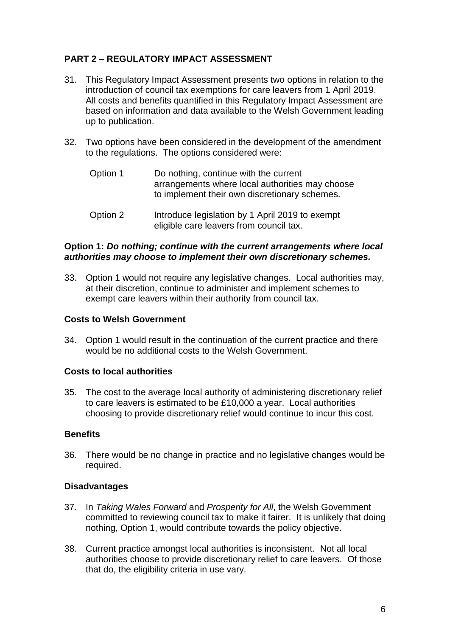## **PART 2 – REGULATORY IMPACT ASSESSMENT**

- 31. This Regulatory Impact Assessment presents two options in relation to the introduction of council tax exemptions for care leavers from 1 April 2019. All costs and benefits quantified in this Regulatory Impact Assessment are based on information and data available to the Welsh Government leading up to publication.
- 32. Two options have been considered in the development of the amendment to the regulations. The options considered were:
	- Option 1 Do nothing, continue with the current arrangements where local authorities may choose to implement their own discretionary schemes.
	- Option 2 Introduce legislation by 1 April 2019 to exempt eligible care leavers from council tax.

### **Option 1:** *Do nothing; continue with the current arrangements where local authorities may choose to implement their own discretionary schemes.*

33. Option 1 would not require any legislative changes. Local authorities may, at their discretion, continue to administer and implement schemes to exempt care leavers within their authority from council tax.

### **Costs to Welsh Government**

34. Option 1 would result in the continuation of the current practice and there would be no additional costs to the Welsh Government.

### **Costs to local authorities**

35. The cost to the average local authority of administering discretionary relief to care leavers is estimated to be £10,000 a year. Local authorities choosing to provide discretionary relief would continue to incur this cost.

### **Benefits**

36. There would be no change in practice and no legislative changes would be required.

## **Disadvantages**

- 37. In *Taking Wales Forward* and *Prosperity for All*, the Welsh Government committed to reviewing council tax to make it fairer. It is unlikely that doing nothing, Option 1, would contribute towards the policy objective.
- 38. Current practice amongst local authorities is inconsistent. Not all local authorities choose to provide discretionary relief to care leavers. Of those that do, the eligibility criteria in use vary.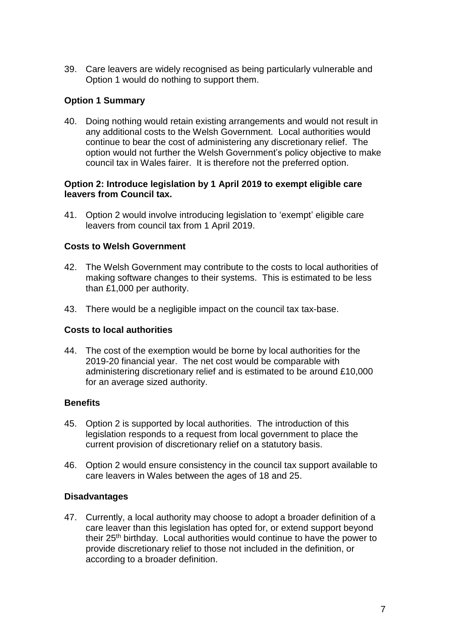39. Care leavers are widely recognised as being particularly vulnerable and Option 1 would do nothing to support them.

## **Option 1 Summary**

40. Doing nothing would retain existing arrangements and would not result in any additional costs to the Welsh Government. Local authorities would continue to bear the cost of administering any discretionary relief. The option would not further the Welsh Government's policy objective to make council tax in Wales fairer. It is therefore not the preferred option.

### **Option 2: Introduce legislation by 1 April 2019 to exempt eligible care leavers from Council tax.**

41. Option 2 would involve introducing legislation to 'exempt' eligible care leavers from council tax from 1 April 2019.

## **Costs to Welsh Government**

- 42. The Welsh Government may contribute to the costs to local authorities of making software changes to their systems. This is estimated to be less than £1,000 per authority.
- 43. There would be a negligible impact on the council tax tax-base.

### **Costs to local authorities**

44. The cost of the exemption would be borne by local authorities for the 2019-20 financial year. The net cost would be comparable with administering discretionary relief and is estimated to be around £10,000 for an average sized authority.

### **Benefits**

- 45. Option 2 is supported by local authorities. The introduction of this legislation responds to a request from local government to place the current provision of discretionary relief on a statutory basis.
- 46. Option 2 would ensure consistency in the council tax support available to care leavers in Wales between the ages of 18 and 25.

## **Disadvantages**

47. Currently, a local authority may choose to adopt a broader definition of a care leaver than this legislation has opted for, or extend support beyond their 25th birthday. Local authorities would continue to have the power to provide discretionary relief to those not included in the definition, or according to a broader definition.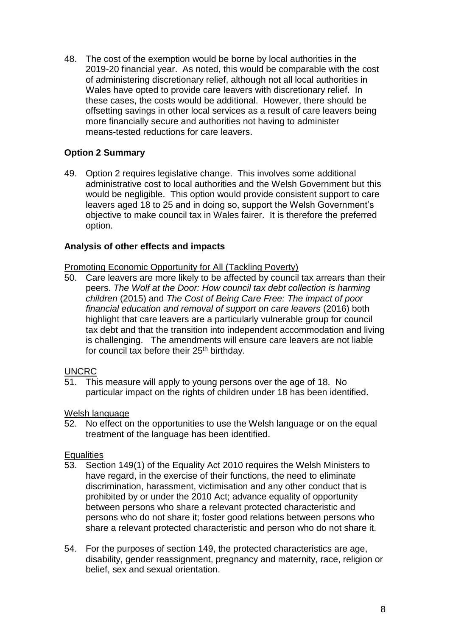48. The cost of the exemption would be borne by local authorities in the 2019-20 financial year. As noted, this would be comparable with the cost of administering discretionary relief, although not all local authorities in Wales have opted to provide care leavers with discretionary relief. In these cases, the costs would be additional. However, there should be offsetting savings in other local services as a result of care leavers being more financially secure and authorities not having to administer means-tested reductions for care leavers.

## **Option 2 Summary**

49. Option 2 requires legislative change. This involves some additional administrative cost to local authorities and the Welsh Government but this would be negligible. This option would provide consistent support to care leavers aged 18 to 25 and in doing so, support the Welsh Government's objective to make council tax in Wales fairer. It is therefore the preferred option.

### **Analysis of other effects and impacts**

Promoting Economic Opportunity for All (Tackling Poverty)

50. Care leavers are more likely to be affected by council tax arrears than their peers. *The Wolf at the Door: How council tax debt collection is harming children* (2015) and *The Cost of Being Care Free: The impact of poor financial education and removal of support on care leavers* (2016) both highlight that care leavers are a particularly vulnerable group for council tax debt and that the transition into independent accommodation and living is challenging. The amendments will ensure care leavers are not liable for council tax before their 25<sup>th</sup> birthday.

### UNCRC

51. This measure will apply to young persons over the age of 18. No particular impact on the rights of children under 18 has been identified.

### Welsh language

52. No effect on the opportunities to use the Welsh language or on the equal treatment of the language has been identified.

### **Equalities**

- 53. Section 149(1) of the Equality Act 2010 requires the Welsh Ministers to have regard, in the exercise of their functions, the need to eliminate discrimination, harassment, victimisation and any other conduct that is prohibited by or under the 2010 Act; advance equality of opportunity between persons who share a relevant protected characteristic and persons who do not share it; foster good relations between persons who share a relevant protected characteristic and person who do not share it.
- 54. For the purposes of section 149, the protected characteristics are age, disability, gender reassignment, pregnancy and maternity, race, religion or belief, sex and sexual orientation.